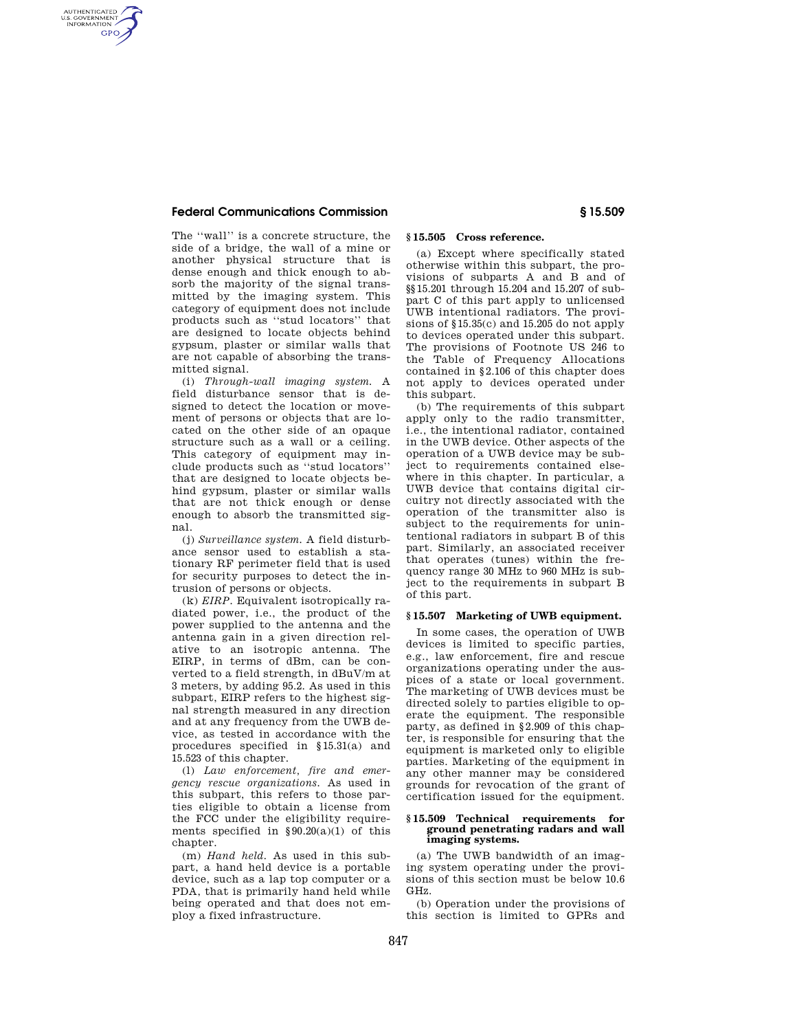### **Federal Communications Commission § 15.509**

AUTHENTICATED<br>U.S. GOVERNMENT<br>INFORMATION **GPO** 

> The ''wall'' is a concrete structure, the side of a bridge, the wall of a mine or another physical structure that is dense enough and thick enough to absorb the majority of the signal transmitted by the imaging system. This category of equipment does not include products such as ''stud locators'' that are designed to locate objects behind gypsum, plaster or similar walls that are not capable of absorbing the transmitted signal.

> (i) *Through-wall imaging system.* A field disturbance sensor that is designed to detect the location or movement of persons or objects that are located on the other side of an opaque structure such as a wall or a ceiling. This category of equipment may include products such as ''stud locators'' that are designed to locate objects behind gypsum, plaster or similar walls that are not thick enough or dense enough to absorb the transmitted signal.

(j) *Surveillance system.* A field disturbance sensor used to establish a stationary RF perimeter field that is used for security purposes to detect the intrusion of persons or objects.

(k) *EIRP.* Equivalent isotropically radiated power, i.e., the product of the power supplied to the antenna and the antenna gain in a given direction relative to an isotropic antenna. The EIRP, in terms of dBm, can be converted to a field strength, in dBuV/m at 3 meters, by adding 95.2. As used in this subpart, EIRP refers to the highest signal strength measured in any direction and at any frequency from the UWB device, as tested in accordance with the procedures specified in §15.31(a) and 15.523 of this chapter.

(l) *Law enforcement, fire and emergency rescue organizations.* As used in this subpart, this refers to those parties eligible to obtain a license from the FCC under the eligibility requirements specified in  $§ 90.20(a)(1)$  of this chapter.

(m) *Hand held.* As used in this subpart, a hand held device is a portable device, such as a lap top computer or a PDA, that is primarily hand held while being operated and that does not employ a fixed infrastructure.

# **§ 15.505 Cross reference.**

(a) Except where specifically stated otherwise within this subpart, the provisions of subparts A and B and of §§15.201 through 15.204 and 15.207 of subpart C of this part apply to unlicensed UWB intentional radiators. The provisions of §15.35(c) and 15.205 do not apply to devices operated under this subpart. The provisions of Footnote US 246 to the Table of Frequency Allocations contained in §2.106 of this chapter does not apply to devices operated under this subpart.

(b) The requirements of this subpart apply only to the radio transmitter, i.e., the intentional radiator, contained in the UWB device. Other aspects of the operation of a UWB device may be subject to requirements contained elsewhere in this chapter. In particular, a UWB device that contains digital circuitry not directly associated with the operation of the transmitter also is subject to the requirements for unintentional radiators in subpart B of this part. Similarly, an associated receiver that operates (tunes) within the frequency range 30 MHz to 960 MHz is subject to the requirements in subpart B of this part.

### **§ 15.507 Marketing of UWB equipment.**

In some cases, the operation of UWB devices is limited to specific parties, e.g., law enforcement, fire and rescue organizations operating under the auspices of a state or local government. The marketing of UWB devices must be directed solely to parties eligible to operate the equipment. The responsible party, as defined in §2.909 of this chapter, is responsible for ensuring that the equipment is marketed only to eligible parties. Marketing of the equipment in any other manner may be considered grounds for revocation of the grant of certification issued for the equipment.

#### **§ 15.509 Technical requirements for ground penetrating radars and wall imaging systems.**

(a) The UWB bandwidth of an imaging system operating under the provisions of this section must be below 10.6 GHz.

(b) Operation under the provisions of this section is limited to GPRs and